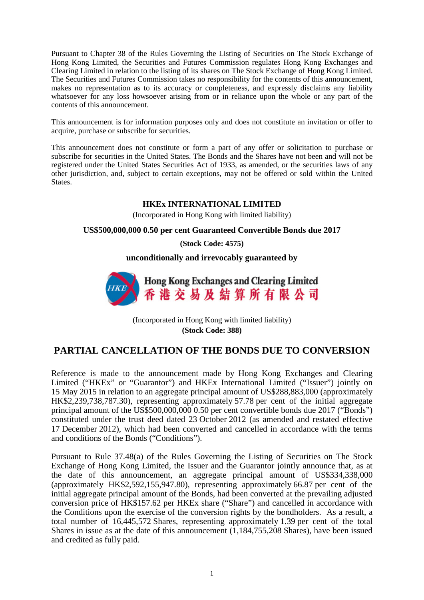Pursuant to Chapter 38 of the Rules Governing the Listing of Securities on The Stock Exchange of Hong Kong Limited, the Securities and Futures Commission regulates Hong Kong Exchanges and Clearing Limited in relation to the listing of its shares on The Stock Exchange of Hong Kong Limited. The Securities and Futures Commission takes no responsibility for the contents of this announcement, makes no representation as to its accuracy or completeness, and expressly disclaims any liability whatsoever for any loss howsoever arising from or in reliance upon the whole or any part of the contents of this announcement.

This announcement is for information purposes only and does not constitute an invitation or offer to acquire, purchase or subscribe for securities.

This announcement does not constitute or form a part of any offer or solicitation to purchase or subscribe for securities in the United States. The Bonds and the Shares have not been and will not be registered under the United States Securities Act of 1933, as amended, or the securities laws of any other jurisdiction, and, subject to certain exceptions, may not be offered or sold within the United States.

## **HKEx INTERNATIONAL LIMITED**

(Incorporated in Hong Kong with limited liability)

## **US\$500,000,000 0.50 per cent Guaranteed Convertible Bonds due 2017**

**(Stock Code: 4575)**

**unconditionally and irrevocably guaranteed by**



(Incorporated in Hong Kong with limited liability) **(Stock Code: 388)**

## **PARTIAL CANCELLATION OF THE BONDS DUE TO CONVERSION**

Reference is made to the announcement made by Hong Kong Exchanges and Clearing Limited ("HKEx" or "Guarantor") and HKEx International Limited ("Issuer") jointly on 15 May 2015 in relation to an aggregate principal amount of US\$288,883,000 (approximately HK\$2,239,738,787.30), representing approximately 57.78 per cent of the initial aggregate principal amount of the US\$500,000,000 0.50 per cent convertible bonds due 2017 ("Bonds") constituted under the trust deed dated 23 October 2012 (as amended and restated effective 17 December 2012), which had been converted and cancelled in accordance with the terms and conditions of the Bonds ("Conditions").

Pursuant to Rule 37.48(a) of the Rules Governing the Listing of Securities on The Stock Exchange of Hong Kong Limited, the Issuer and the Guarantor jointly announce that, as at the date of this announcement, an aggregate principal amount of US\$334,338,000 (approximately HK\$2,592,155,947.80), representing approximately 66.87 per cent of the initial aggregate principal amount of the Bonds, had been converted at the prevailing adjusted conversion price of HK\$157.62 per HKEx share ("Share") and cancelled in accordance with the Conditions upon the exercise of the conversion rights by the bondholders. As a result, a total number of 16,445,572 Shares, representing approximately 1.39 per cent of the total Shares in issue as at the date of this announcement (1,184,755,208 Shares), have been issued and credited as fully paid.